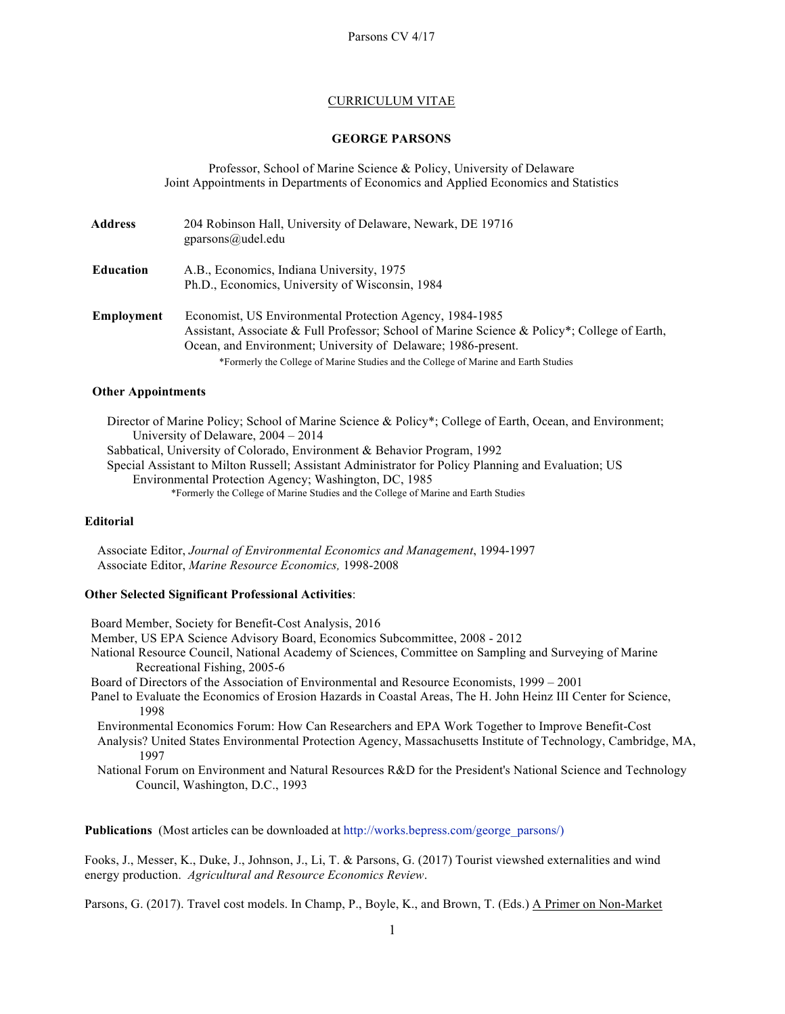### CURRICULUM VITAE

## **GEORGE PARSONS**

Professor, School of Marine Science & Policy, University of Delaware Joint Appointments in Departments of Economics and Applied Economics and Statistics

| <b>Address</b>    | 204 Robinson Hall, University of Delaware, Newark, DE 19716<br>gparsons@udel.edu                                                                                                                                                                                                                                 |
|-------------------|------------------------------------------------------------------------------------------------------------------------------------------------------------------------------------------------------------------------------------------------------------------------------------------------------------------|
| <b>Education</b>  | A.B., Economics, Indiana University, 1975<br>Ph.D., Economics, University of Wisconsin, 1984                                                                                                                                                                                                                     |
| <b>Employment</b> | Economist, US Environmental Protection Agency, 1984-1985<br>Assistant, Associate & Full Professor; School of Marine Science & Policy*; College of Earth,<br>Ocean, and Environment; University of Delaware; 1986-present.<br>*Formerly the College of Marine Studies and the College of Marine and Earth Studies |

#### **Other Appointments**

 Director of Marine Policy; School of Marine Science & Policy\*; College of Earth, Ocean, and Environment; University of Delaware, 2004 – 2014 Sabbatical, University of Colorado, Environment & Behavior Program, 1992 Special Assistant to Milton Russell; Assistant Administrator for Policy Planning and Evaluation; US Environmental Protection Agency; Washington, DC, 1985 \*Formerly the College of Marine Studies and the College of Marine and Earth Studies

# **Editorial**

 Associate Editor, *Journal of Environmental Economics and Management*, 1994-1997 Associate Editor, *Marine Resource Economics,* 1998-2008

#### **Other Selected Significant Professional Activities**:

 Board Member, Society for Benefit-Cost Analysis, 2016 Member, US EPA Science Advisory Board, Economics Subcommittee, 2008 - 2012 National Resource Council, National Academy of Sciences, Committee on Sampling and Surveying of Marine Recreational Fishing, 2005-6 Board of Directors of the Association of Environmental and Resource Economists, 1999 – 2001 Panel to Evaluate the Economics of Erosion Hazards in Coastal Areas, The H. John Heinz III Center for Science, 1998 Environmental Economics Forum: How Can Researchers and EPA Work Together to Improve Benefit-Cost Analysis? United States Environmental Protection Agency, Massachusetts Institute of Technology, Cambridge, MA, 1997 National Forum on Environment and Natural Resources R&D for the President's National Science and Technology Council, Washington, D.C., 1993

**Publications** (Most articles can be downloaded at http://works.bepress.com/george\_parsons/)

Fooks, J., Messer, K., Duke, J., Johnson, J., Li, T. & Parsons, G. (2017) Tourist viewshed externalities and wind energy production. *Agricultural and Resource Economics Review*.

Parsons, G. (2017). Travel cost models. In Champ, P., Boyle, K., and Brown, T. (Eds.) A Primer on Non-Market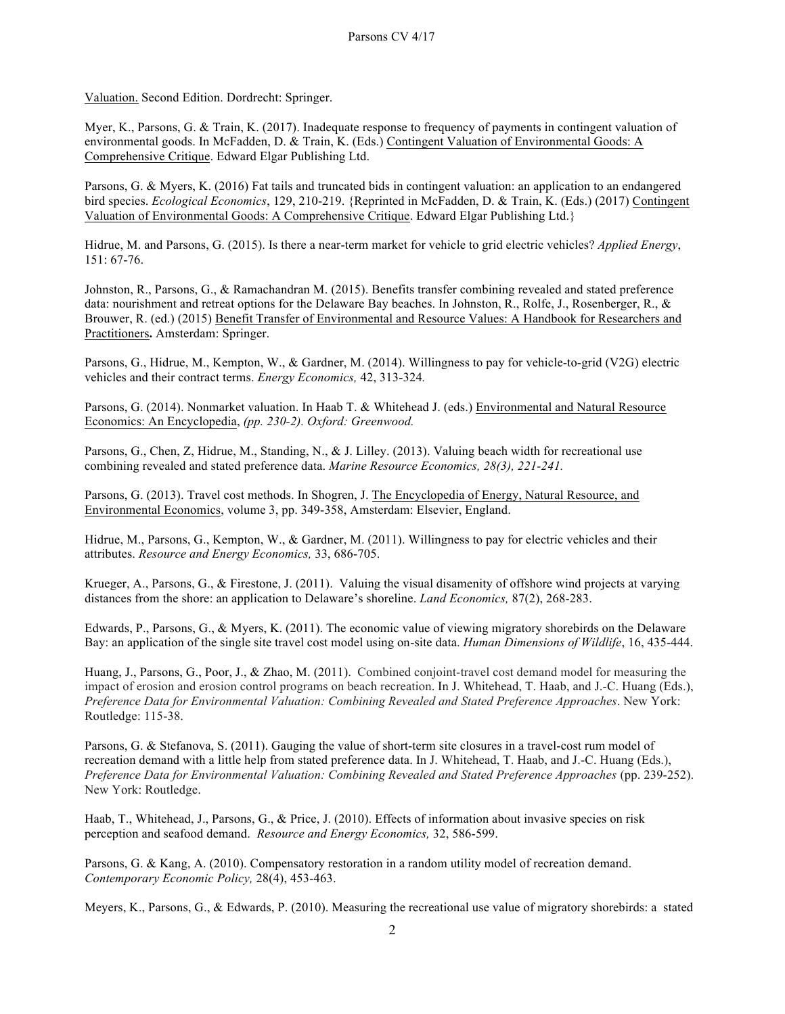Valuation. Second Edition. Dordrecht: Springer.

Myer, K., Parsons, G. & Train, K. (2017). Inadequate response to frequency of payments in contingent valuation of environmental goods. In McFadden, D. & Train, K. (Eds.) Contingent Valuation of Environmental Goods: A Comprehensive Critique. Edward Elgar Publishing Ltd.

Parsons, G. & Myers, K. (2016) Fat tails and truncated bids in contingent valuation: an application to an endangered bird species. *Ecological Economics*, 129, 210-219. {Reprinted in McFadden, D. & Train, K. (Eds.) (2017) Contingent Valuation of Environmental Goods: A Comprehensive Critique. Edward Elgar Publishing Ltd.}

Hidrue, M. and Parsons, G. (2015). Is there a near-term market for vehicle to grid electric vehicles? *Applied Energy*, 151: 67-76.

Johnston, R., Parsons, G., & Ramachandran M. (2015). Benefits transfer combining revealed and stated preference data: nourishment and retreat options for the Delaware Bay beaches. In Johnston, R., Rolfe, J., Rosenberger, R., & Brouwer, R. (ed.) (2015) Benefit Transfer of Environmental and Resource Values: A Handbook for Researchers and Practitioners**.** Amsterdam: Springer.

Parsons, G., Hidrue, M., Kempton, W., & Gardner, M. (2014). Willingness to pay for vehicle-to-grid (V2G) electric vehicles and their contract terms. *Energy Economics,* 42, 313-324*.*

Parsons, G. (2014). Nonmarket valuation. In Haab T. & Whitehead J. (eds.) Environmental and Natural Resource Economics: An Encyclopedia, *(pp. 230-2). Oxford: Greenwood.* 

Parsons, G., Chen, Z, Hidrue, M., Standing, N., & J. Lilley. (2013). Valuing beach width for recreational use combining revealed and stated preference data. *Marine Resource Economics, 28(3), 221-241.* 

Parsons, G. (2013). Travel cost methods. In Shogren, J. The Encyclopedia of Energy, Natural Resource, and Environmental Economics, volume 3, pp. 349-358, Amsterdam: Elsevier, England.

Hidrue, M., Parsons, G., Kempton, W., & Gardner, M. (2011). Willingness to pay for electric vehicles and their attributes. *Resource and Energy Economics,* 33, 686-705.

Krueger, A., Parsons, G., & Firestone, J. (2011). Valuing the visual disamenity of offshore wind projects at varying distances from the shore: an application to Delaware's shoreline. *Land Economics,* 87(2), 268-283.

Edwards, P., Parsons, G., & Myers, K. (2011). The economic value of viewing migratory shorebirds on the Delaware Bay: an application of the single site travel cost model using on-site data. *Human Dimensions of Wildlife*, 16, 435-444.

Huang, J., Parsons, G., Poor, J., & Zhao, M. (2011). Combined conjoint-travel cost demand model for measuring the impact of erosion and erosion control programs on beach recreation. In J. Whitehead, T. Haab, and J.-C. Huang (Eds.), *Preference Data for Environmental Valuation: Combining Revealed and Stated Preference Approaches*. New York: Routledge: 115-38.

Parsons, G. & Stefanova, S. (2011). Gauging the value of short-term site closures in a travel-cost rum model of recreation demand with a little help from stated preference data. In J. Whitehead, T. Haab, and J.-C. Huang (Eds.), *Preference Data for Environmental Valuation: Combining Revealed and Stated Preference Approaches* (pp. 239-252). New York: Routledge.

Haab, T., Whitehead, J., Parsons, G., & Price, J. (2010). Effects of information about invasive species on risk perception and seafood demand. *Resource and Energy Economics,* 32, 586-599.

Parsons, G. & Kang, A. (2010). Compensatory restoration in a random utility model of recreation demand. *Contemporary Economic Policy,* 28(4), 453-463.

Meyers, K., Parsons, G., & Edwards, P. (2010). Measuring the recreational use value of migratory shorebirds: a stated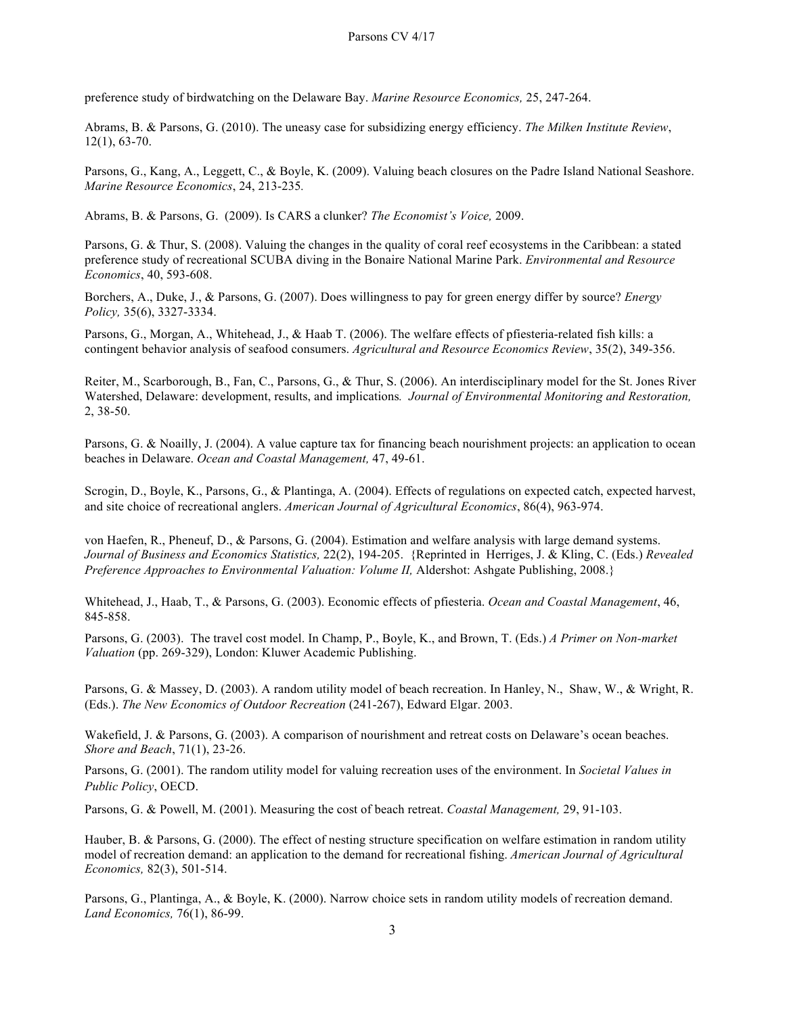preference study of birdwatching on the Delaware Bay. *Marine Resource Economics,* 25, 247-264.

Abrams, B. & Parsons, G. (2010). The uneasy case for subsidizing energy efficiency. *The Milken Institute Review*, 12(1), 63-70.

Parsons, G., Kang, A., Leggett, C., & Boyle, K. (2009). Valuing beach closures on the Padre Island National Seashore. *Marine Resource Economics*, 24, 213-235*.*

Abrams, B. & Parsons, G. (2009). Is CARS a clunker? *The Economist's Voice,* 2009.

Parsons, G. & Thur, S. (2008). Valuing the changes in the quality of coral reef ecosystems in the Caribbean: a stated preference study of recreational SCUBA diving in the Bonaire National Marine Park. *Environmental and Resource Economics*, 40, 593-608.

Borchers, A., Duke, J., & Parsons, G. (2007). Does willingness to pay for green energy differ by source? *Energy Policy,* 35(6), 3327-3334.

Parsons, G., Morgan, A., Whitehead, J., & Haab T. (2006). The welfare effects of pfiesteria-related fish kills: a contingent behavior analysis of seafood consumers. *Agricultural and Resource Economics Review*, 35(2), 349-356.

Reiter, M., Scarborough, B., Fan, C., Parsons, G., & Thur, S. (2006). An interdisciplinary model for the St. Jones River Watershed, Delaware: development, results, and implications*. Journal of Environmental Monitoring and Restoration,*  2, 38-50.

Parsons, G. & Noailly, J. (2004). A value capture tax for financing beach nourishment projects: an application to ocean beaches in Delaware. *Ocean and Coastal Management,* 47, 49-61.

Scrogin, D., Boyle, K., Parsons, G., & Plantinga, A. (2004). Effects of regulations on expected catch, expected harvest, and site choice of recreational anglers. *American Journal of Agricultural Economics*, 86(4), 963-974.

von Haefen, R., Pheneuf, D., & Parsons, G. (2004). Estimation and welfare analysis with large demand systems. *Journal of Business and Economics Statistics,* 22(2), 194-205. {Reprinted in Herriges, J. & Kling, C. (Eds.) *Revealed Preference Approaches to Environmental Valuation: Volume II,* Aldershot: Ashgate Publishing, 2008.}

Whitehead, J., Haab, T., & Parsons, G. (2003). Economic effects of pfiesteria. *Ocean and Coastal Management*, 46, 845-858.

Parsons, G. (2003). The travel cost model. In Champ, P., Boyle, K., and Brown, T. (Eds.) *A Primer on Non-market Valuation* (pp. 269-329), London: Kluwer Academic Publishing.

Parsons, G. & Massey, D. (2003). A random utility model of beach recreation. In Hanley, N., Shaw, W., & Wright, R. (Eds.). *The New Economics of Outdoor Recreation* (241-267), Edward Elgar. 2003.

Wakefield, J. & Parsons, G. (2003). A comparison of nourishment and retreat costs on Delaware's ocean beaches. *Shore and Beach*, 71(1), 23-26.

Parsons, G. (2001). The random utility model for valuing recreation uses of the environment. In *Societal Values in Public Policy*, OECD.

Parsons, G. & Powell, M. (2001). Measuring the cost of beach retreat. *Coastal Management,* 29, 91-103.

Hauber, B. & Parsons, G. (2000). The effect of nesting structure specification on welfare estimation in random utility model of recreation demand: an application to the demand for recreational fishing. *American Journal of Agricultural Economics,* 82(3), 501-514.

Parsons, G., Plantinga, A., & Boyle, K. (2000). Narrow choice sets in random utility models of recreation demand. *Land Economics,* 76(1), 86-99.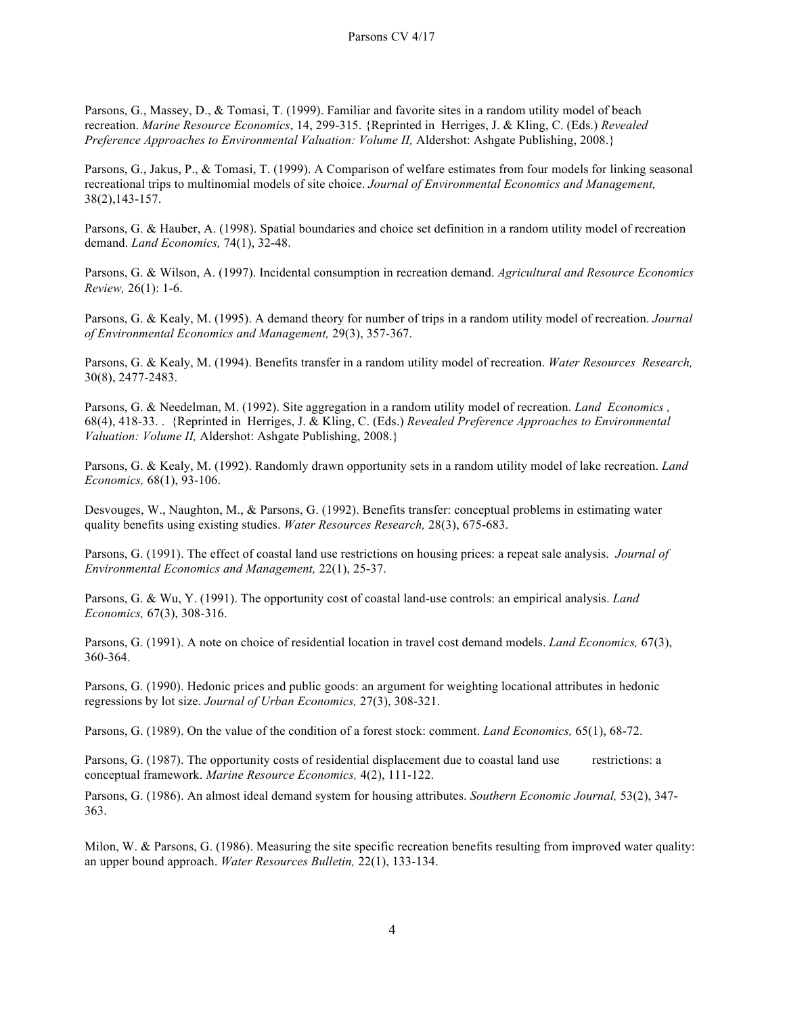Parsons, G., Massey, D., & Tomasi, T. (1999). Familiar and favorite sites in a random utility model of beach recreation. *Marine Resource Economics*, 14, 299-315. {Reprinted in Herriges, J. & Kling, C. (Eds.) *Revealed Preference Approaches to Environmental Valuation: Volume II,* Aldershot: Ashgate Publishing, 2008.}

Parsons, G., Jakus, P., & Tomasi, T. (1999). A Comparison of welfare estimates from four models for linking seasonal recreational trips to multinomial models of site choice. *Journal of Environmental Economics and Management,*  38(2),143-157.

Parsons, G. & Hauber, A. (1998). Spatial boundaries and choice set definition in a random utility model of recreation demand. *Land Economics,* 74(1), 32-48.

Parsons, G. & Wilson, A. (1997). Incidental consumption in recreation demand. *Agricultural and Resource Economics Review,* 26(1): 1-6.

Parsons, G. & Kealy, M. (1995). A demand theory for number of trips in a random utility model of recreation. *Journal of Environmental Economics and Management,* 29(3), 357-367.

Parsons, G. & Kealy, M. (1994). Benefits transfer in a random utility model of recreation. *Water Resources Research,* 30(8), 2477-2483.

Parsons, G. & Needelman, M. (1992). Site aggregation in a random utility model of recreation. *Land Economics ,*  68(4), 418-33. . {Reprinted in Herriges, J. & Kling, C. (Eds.) *Revealed Preference Approaches to Environmental Valuation: Volume II,* Aldershot: Ashgate Publishing, 2008.}

Parsons, G. & Kealy, M. (1992). Randomly drawn opportunity sets in a random utility model of lake recreation. *Land Economics,* 68(1), 93-106.

Desvouges, W., Naughton, M., & Parsons, G. (1992). Benefits transfer: conceptual problems in estimating water quality benefits using existing studies. *Water Resources Research,* 28(3), 675-683.

Parsons, G. (1991). The effect of coastal land use restrictions on housing prices: a repeat sale analysis. *Journal of Environmental Economics and Management,* 22(1), 25-37.

Parsons, G. & Wu, Y. (1991). The opportunity cost of coastal land-use controls: an empirical analysis. *Land Economics,* 67(3), 308-316.

Parsons, G. (1991). A note on choice of residential location in travel cost demand models. *Land Economics,* 67(3), 360-364.

Parsons, G. (1990). Hedonic prices and public goods: an argument for weighting locational attributes in hedonic regressions by lot size. *Journal of Urban Economics,* 27(3), 308-321.

Parsons, G. (1989). On the value of the condition of a forest stock: comment. *Land Economics,* 65(1), 68-72.

Parsons, G. (1987). The opportunity costs of residential displacement due to coastal land use restrictions: a conceptual framework. *Marine Resource Economics,* 4(2), 111-122.

Parsons, G. (1986). An almost ideal demand system for housing attributes. *Southern Economic Journal,* 53(2), 347- 363.

Milon, W. & Parsons, G. (1986). Measuring the site specific recreation benefits resulting from improved water quality: an upper bound approach. *Water Resources Bulletin,* 22(1), 133-134.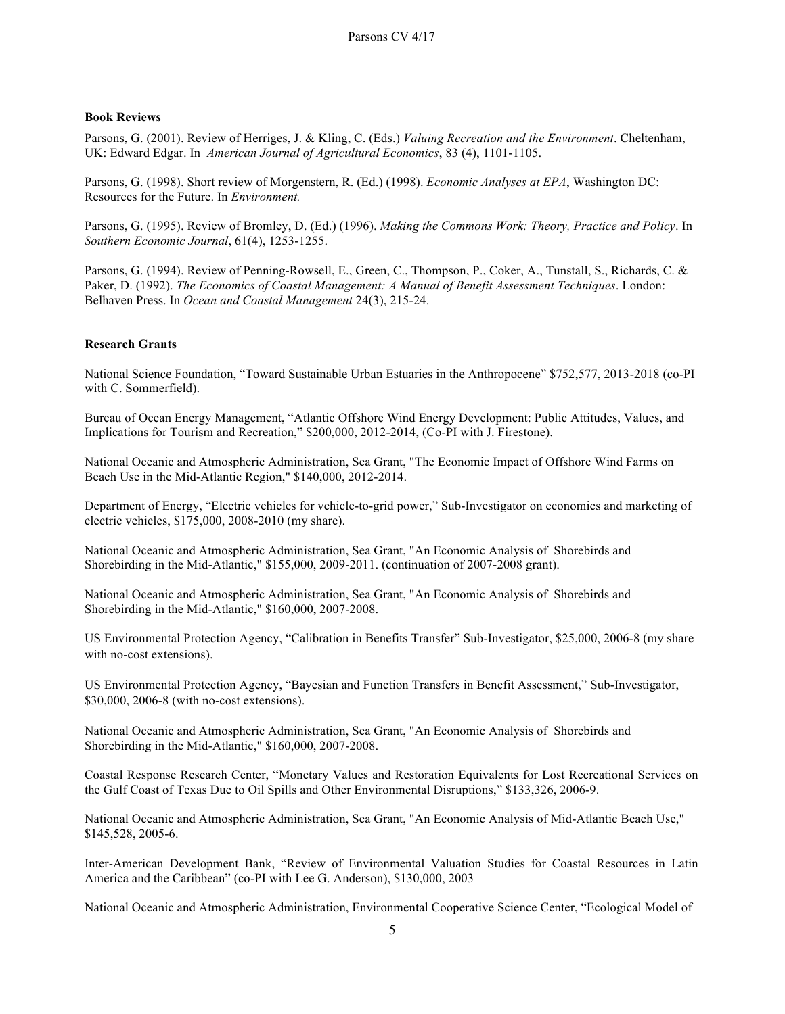# **Book Reviews**

Parsons, G. (2001). Review of Herriges, J. & Kling, C. (Eds.) *Valuing Recreation and the Environment*. Cheltenham, UK: Edward Edgar. In *American Journal of Agricultural Economics*, 83 (4), 1101-1105.

Parsons, G. (1998). Short review of Morgenstern, R. (Ed.) (1998). *Economic Analyses at EPA*, Washington DC: Resources for the Future. In *Environment.* 

Parsons, G. (1995). Review of Bromley, D. (Ed.) (1996). *Making the Commons Work: Theory, Practice and Policy*. In *Southern Economic Journal*, 61(4), 1253-1255.

Parsons, G. (1994). Review of Penning-Rowsell, E., Green, C., Thompson, P., Coker, A., Tunstall, S., Richards, C. & Paker, D. (1992). *The Economics of Coastal Management: A Manual of Benefit Assessment Techniques*. London: Belhaven Press. In *Ocean and Coastal Management* 24(3), 215-24.

# **Research Grants**

National Science Foundation, "Toward Sustainable Urban Estuaries in the Anthropocene" \$752,577, 2013-2018 (co-PI with C. Sommerfield).

Bureau of Ocean Energy Management, "Atlantic Offshore Wind Energy Development: Public Attitudes, Values, and Implications for Tourism and Recreation," \$200,000, 2012-2014, (Co-PI with J. Firestone).

National Oceanic and Atmospheric Administration, Sea Grant, "The Economic Impact of Offshore Wind Farms on Beach Use in the Mid-Atlantic Region," \$140,000, 2012-2014.

Department of Energy, "Electric vehicles for vehicle-to-grid power," Sub-Investigator on economics and marketing of electric vehicles, \$175,000, 2008-2010 (my share).

National Oceanic and Atmospheric Administration, Sea Grant, "An Economic Analysis of Shorebirds and Shorebirding in the Mid-Atlantic," \$155,000, 2009-2011. (continuation of 2007-2008 grant).

National Oceanic and Atmospheric Administration, Sea Grant, "An Economic Analysis of Shorebirds and Shorebirding in the Mid-Atlantic," \$160,000, 2007-2008.

US Environmental Protection Agency, "Calibration in Benefits Transfer" Sub-Investigator, \$25,000, 2006-8 (my share with no-cost extensions).

US Environmental Protection Agency, "Bayesian and Function Transfers in Benefit Assessment," Sub-Investigator, \$30,000, 2006-8 (with no-cost extensions).

National Oceanic and Atmospheric Administration, Sea Grant, "An Economic Analysis of Shorebirds and Shorebirding in the Mid-Atlantic," \$160,000, 2007-2008.

Coastal Response Research Center, "Monetary Values and Restoration Equivalents for Lost Recreational Services on the Gulf Coast of Texas Due to Oil Spills and Other Environmental Disruptions," \$133,326, 2006-9.

National Oceanic and Atmospheric Administration, Sea Grant, "An Economic Analysis of Mid-Atlantic Beach Use," \$145,528, 2005-6.

Inter-American Development Bank, "Review of Environmental Valuation Studies for Coastal Resources in Latin America and the Caribbean" (co-PI with Lee G. Anderson), \$130,000, 2003

National Oceanic and Atmospheric Administration, Environmental Cooperative Science Center, "Ecological Model of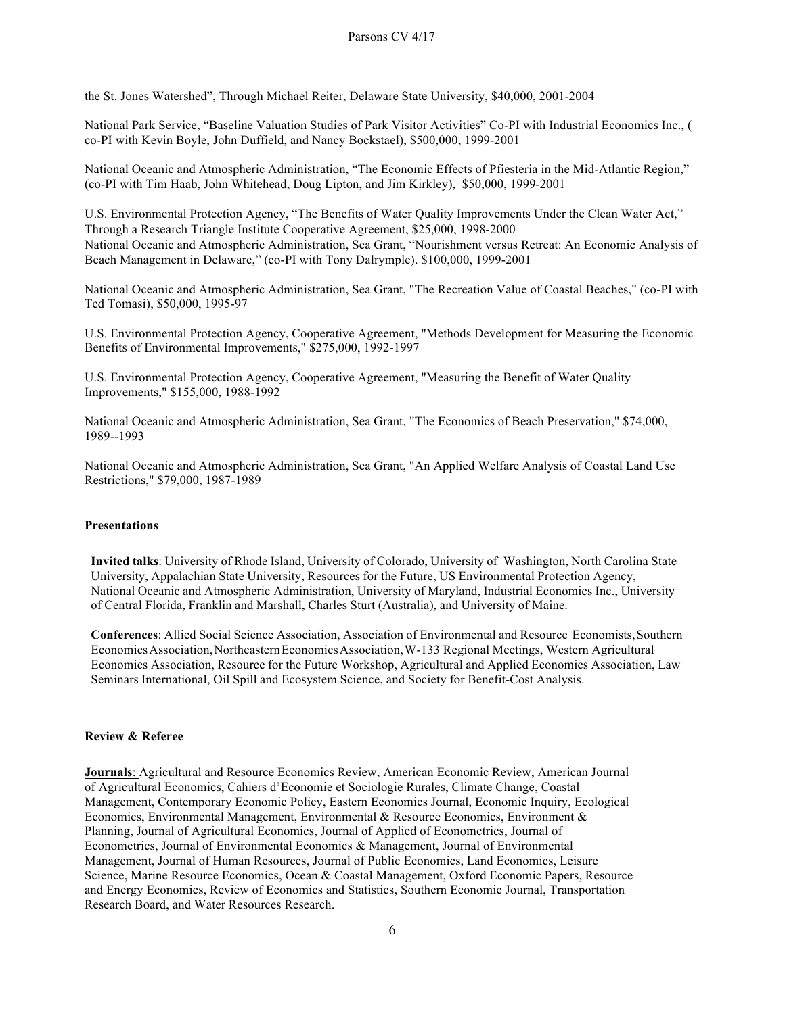the St. Jones Watershed", Through Michael Reiter, Delaware State University, \$40,000, 2001-2004

National Park Service, "Baseline Valuation Studies of Park Visitor Activities" Co-PI with Industrial Economics Inc., ( co-PI with Kevin Boyle, John Duffield, and Nancy Bockstael), \$500,000, 1999-2001

National Oceanic and Atmospheric Administration, "The Economic Effects of Pfiesteria in the Mid-Atlantic Region," (co-PI with Tim Haab, John Whitehead, Doug Lipton, and Jim Kirkley), \$50,000, 1999-2001

U.S. Environmental Protection Agency, "The Benefits of Water Quality Improvements Under the Clean Water Act," Through a Research Triangle Institute Cooperative Agreement, \$25,000, 1998-2000 National Oceanic and Atmospheric Administration, Sea Grant, "Nourishment versus Retreat: An Economic Analysis of Beach Management in Delaware," (co-PI with Tony Dalrymple). \$100,000, 1999-2001

National Oceanic and Atmospheric Administration, Sea Grant, "The Recreation Value of Coastal Beaches," (co-PI with Ted Tomasi), \$50,000, 1995-97

U.S. Environmental Protection Agency, Cooperative Agreement, "Methods Development for Measuring the Economic Benefits of Environmental Improvements," \$275,000, 1992-1997

U.S. Environmental Protection Agency, Cooperative Agreement, "Measuring the Benefit of Water Quality Improvements," \$155,000, 1988-1992

National Oceanic and Atmospheric Administration, Sea Grant, "The Economics of Beach Preservation," \$74,000, 1989--1993

National Oceanic and Atmospheric Administration, Sea Grant, "An Applied Welfare Analysis of Coastal Land Use Restrictions," \$79,000, 1987-1989

## **Presentations**

**Invited talks**: University of Rhode Island, University of Colorado, University of Washington, North Carolina State University, Appalachian State University, Resources for the Future, US Environmental Protection Agency, National Oceanic and Atmospheric Administration, University of Maryland, Industrial Economics Inc., University of Central Florida, Franklin and Marshall, Charles Sturt (Australia), and University of Maine.

**Conferences**: Allied Social Science Association, Association of Environmental and Resource Economists,Southern EconomicsAssociation,NortheasternEconomicsAssociation,W-133 Regional Meetings, Western Agricultural Economics Association, Resource for the Future Workshop, Agricultural and Applied Economics Association, Law Seminars International, Oil Spill and Ecosystem Science, and Society for Benefit-Cost Analysis.

## **Review & Referee**

**Journals**: Agricultural and Resource Economics Review, American Economic Review, American Journal of Agricultural Economics, Cahiers d'Economie et Sociologie Rurales, Climate Change, Coastal Management, Contemporary Economic Policy, Eastern Economics Journal, Economic Inquiry, Ecological Economics, Environmental Management, Environmental & Resource Economics, Environment & Planning, Journal of Agricultural Economics, Journal of Applied of Econometrics, Journal of Econometrics, Journal of Environmental Economics & Management, Journal of Environmental Management, Journal of Human Resources, Journal of Public Economics, Land Economics, Leisure Science, Marine Resource Economics, Ocean & Coastal Management, Oxford Economic Papers, Resource and Energy Economics, Review of Economics and Statistics, Southern Economic Journal, Transportation Research Board, and Water Resources Research.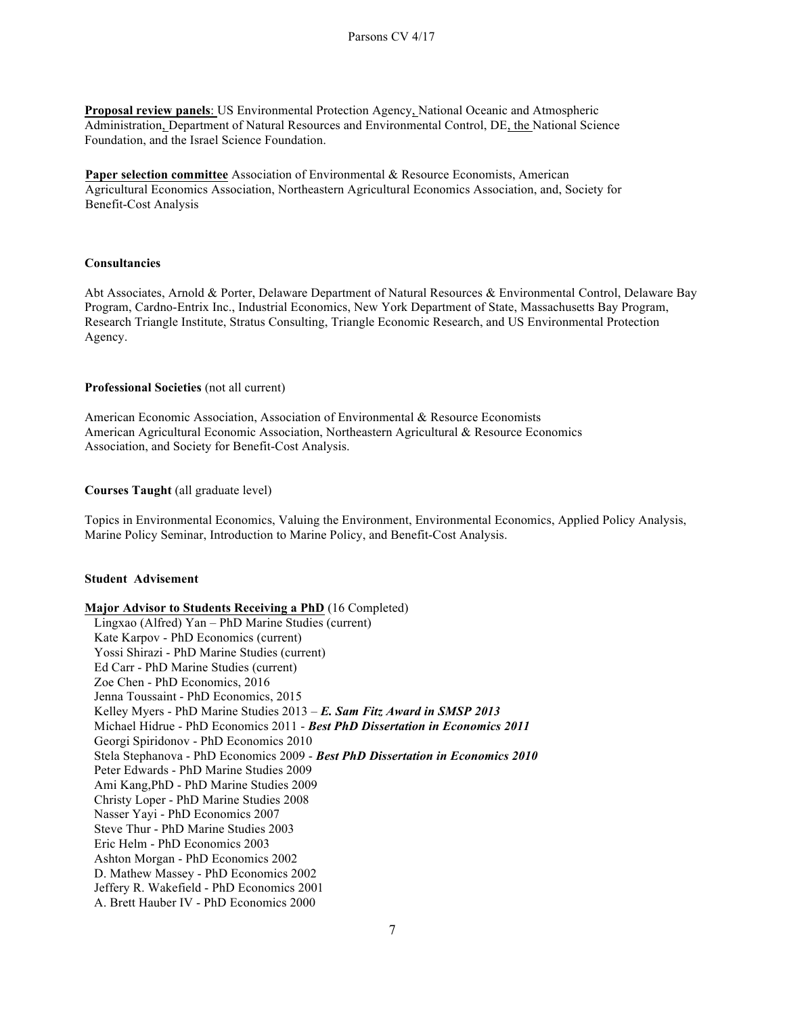**Proposal review panels**: US Environmental Protection Agency, National Oceanic and Atmospheric Administration, Department of Natural Resources and Environmental Control, DE, the National Science Foundation, and the Israel Science Foundation.

**Paper selection committee** Association of Environmental & Resource Economists, American Agricultural Economics Association, Northeastern Agricultural Economics Association, and, Society for Benefit-Cost Analysis

## **Consultancies**

Abt Associates, Arnold & Porter, Delaware Department of Natural Resources & Environmental Control, Delaware Bay Program, Cardno-Entrix Inc., Industrial Economics, New York Department of State, Massachusetts Bay Program, Research Triangle Institute, Stratus Consulting, Triangle Economic Research, and US Environmental Protection Agency.

## **Professional Societies** (not all current)

American Economic Association, Association of Environmental & Resource Economists American Agricultural Economic Association, Northeastern Agricultural & Resource Economics Association, and Society for Benefit-Cost Analysis.

## **Courses Taught** (all graduate level)

Topics in Environmental Economics, Valuing the Environment, Environmental Economics, Applied Policy Analysis, Marine Policy Seminar, Introduction to Marine Policy, and Benefit-Cost Analysis.

# **Student Advisement**

**Major Advisor to Students Receiving a PhD** (16 Completed) Lingxao (Alfred) Yan – PhD Marine Studies (current) Kate Karpov - PhD Economics (current) Yossi Shirazi - PhD Marine Studies (current) Ed Carr - PhD Marine Studies (current) Zoe Chen - PhD Economics, 2016 Jenna Toussaint - PhD Economics, 2015 Kelley Myers - PhD Marine Studies 2013 – *E. Sam Fitz Award in SMSP 2013* Michael Hidrue - PhD Economics 2011 - *Best PhD Dissertation in Economics 2011* Georgi Spiridonov - PhD Economics 2010 Stela Stephanova - PhD Economics 2009 - *Best PhD Dissertation in Economics 2010*  Peter Edwards - PhD Marine Studies 2009 Ami Kang,PhD - PhD Marine Studies 2009 Christy Loper - PhD Marine Studies 2008 Nasser Yayi - PhD Economics 2007 Steve Thur - PhD Marine Studies 2003 Eric Helm - PhD Economics 2003 Ashton Morgan - PhD Economics 2002 D. Mathew Massey - PhD Economics 2002 Jeffery R. Wakefield - PhD Economics 2001 A. Brett Hauber IV - PhD Economics 2000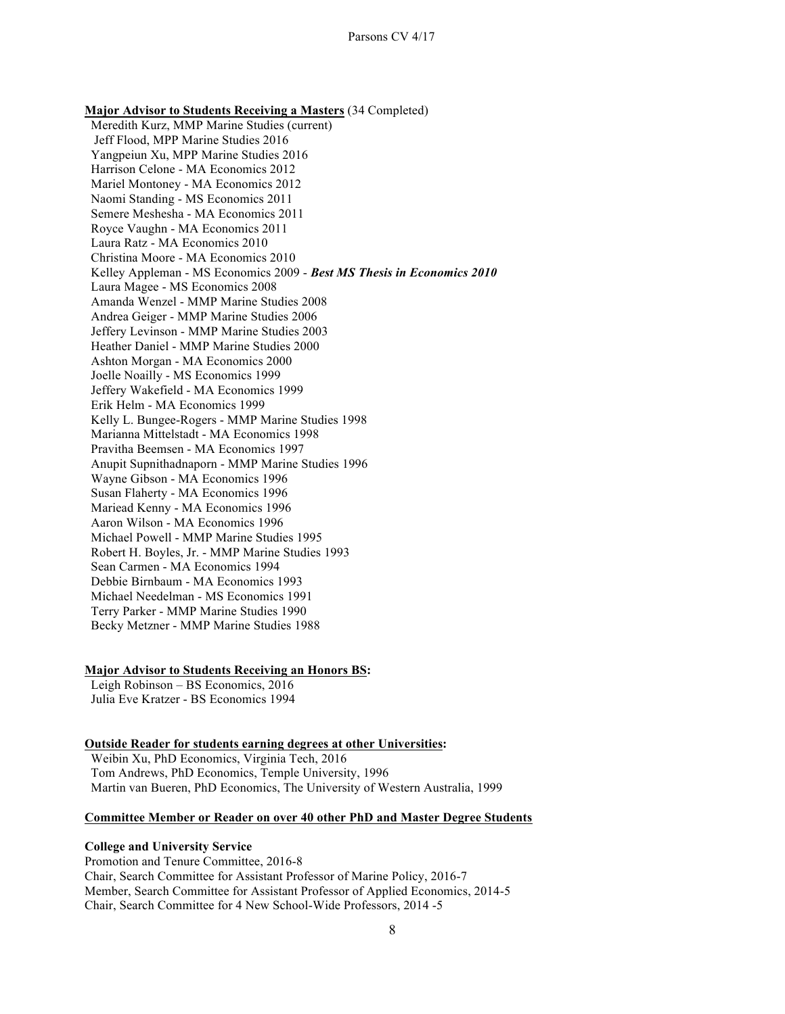**Major Advisor to Students Receiving a Masters** (34 Completed) Meredith Kurz, MMP Marine Studies (current) Jeff Flood, MPP Marine Studies 2016 Yangpeiun Xu, MPP Marine Studies 2016 Harrison Celone - MA Economics 2012 Mariel Montoney - MA Economics 2012 Naomi Standing - MS Economics 2011 Semere Meshesha - MA Economics 2011 Royce Vaughn - MA Economics 2011 Laura Ratz - MA Economics 2010 Christina Moore - MA Economics 2010 Kelley Appleman - MS Economics 2009 - *Best MS Thesis in Economics 2010*  Laura Magee - MS Economics 2008 Amanda Wenzel - MMP Marine Studies 2008 Andrea Geiger - MMP Marine Studies 2006 Jeffery Levinson - MMP Marine Studies 2003 Heather Daniel - MMP Marine Studies 2000 Ashton Morgan - MA Economics 2000 Joelle Noailly - MS Economics 1999 Jeffery Wakefield - MA Economics 1999 Erik Helm - MA Economics 1999 Kelly L. Bungee-Rogers - MMP Marine Studies 1998 Marianna Mittelstadt - MA Economics 1998 Pravitha Beemsen - MA Economics 1997 Anupit Supnithadnaporn - MMP Marine Studies 1996 Wayne Gibson - MA Economics 1996 Susan Flaherty - MA Economics 1996 Mariead Kenny - MA Economics 1996 Aaron Wilson - MA Economics 1996 Michael Powell - MMP Marine Studies 1995 Robert H. Boyles, Jr. - MMP Marine Studies 1993 Sean Carmen - MA Economics 1994 Debbie Birnbaum - MA Economics 1993 Michael Needelman - MS Economics 1991 Terry Parker - MMP Marine Studies 1990 Becky Metzner - MMP Marine Studies 1988

#### **Major Advisor to Students Receiving an Honors BS:**

 Leigh Robinson – BS Economics, 2016 Julia Eve Kratzer - BS Economics 1994

# **Outside Reader for students earning degrees at other Universities:**

 Weibin Xu, PhD Economics, Virginia Tech, 2016 Tom Andrews, PhD Economics, Temple University, 1996 Martin van Bueren, PhD Economics, The University of Western Australia, 1999

## **Committee Member or Reader on over 40 other PhD and Master Degree Students**

# **College and University Service**

Promotion and Tenure Committee, 2016-8 Chair, Search Committee for Assistant Professor of Marine Policy, 2016-7 Member, Search Committee for Assistant Professor of Applied Economics, 2014-5 Chair, Search Committee for 4 New School-Wide Professors, 2014 -5